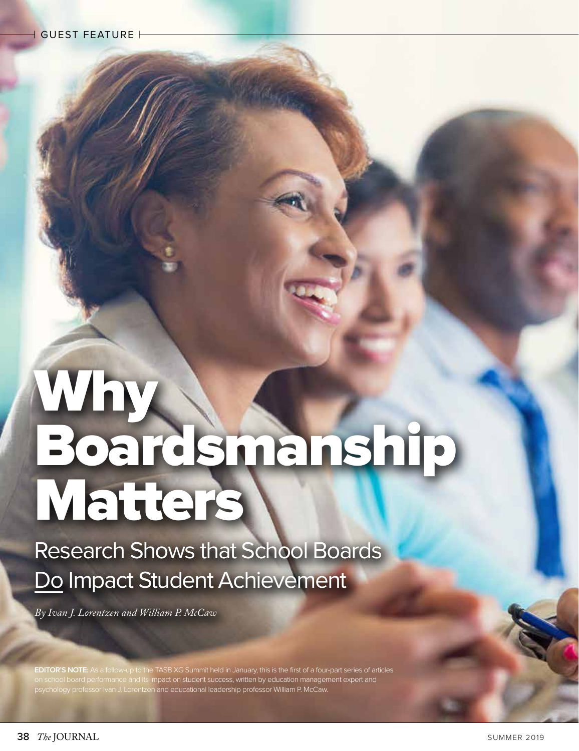## Why Boardsmanship **Matters**

Research Shows that School Boards Do Impact Student Achievement

*By Ivan J. Lorentzen and William P. McCaw*

**EDITOR'S NOTE:** As a follow-up to the TASB XG Summit held in January, this is the first of a four-part series of articles on school board performance and its impact on student success, written by education management expert and psychology professor Ivan J. Lorentzen and educational leadership professor William P. McCaw.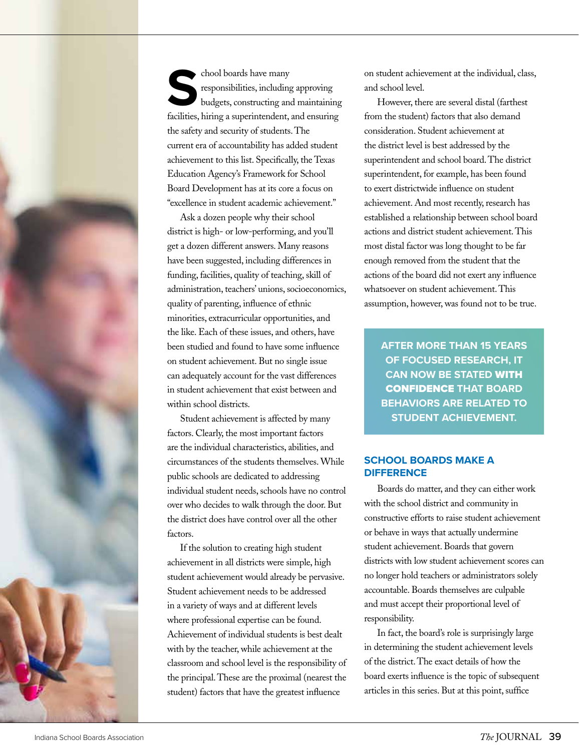

chool boards have many<br>
responsibilities, including approving<br>
budgets, constructing and maintaining<br>
facilities, hiring a superintendent, and ensuring responsibilities, including approving budgets, constructing and maintaining the safety and security of students. The current era of accountability has added student achievement to this list. Specifically, the Texas Education Agency's Framework for School Board Development has at its core a focus on "excellence in student academic achievement."

Ask a dozen people why their school district is high- or low-performing, and you'll get a dozen different answers. Many reasons have been suggested, including differences in funding, facilities, quality of teaching, skill of administration, teachers' unions, socioeconomics, quality of parenting, influence of ethnic minorities, extracurricular opportunities, and the like. Each of these issues, and others, have been studied and found to have some influence on student achievement. But no single issue can adequately account for the vast differences in student achievement that exist between and within school districts.

Student achievement is affected by many factors. Clearly, the most important factors are the individual characteristics, abilities, and circumstances of the students themselves. While public schools are dedicated to addressing individual student needs, schools have no control over who decides to walk through the door. But the district does have control over all the other factors.

If the solution to creating high student achievement in all districts were simple, high student achievement would already be pervasive. Student achievement needs to be addressed in a variety of ways and at different levels where professional expertise can be found. Achievement of individual students is best dealt with by the teacher, while achievement at the classroom and school level is the responsibility of the principal. These are the proximal (nearest the student) factors that have the greatest influence

on student achievement at the individual, class, and school level.

However, there are several distal (farthest from the student) factors that also demand consideration. Student achievement at the district level is best addressed by the superintendent and school board. The district superintendent, for example, has been found to exert districtwide influence on student achievement. And most recently, research has established a relationship between school board actions and district student achievement. This most distal factor was long thought to be far enough removed from the student that the actions of the board did not exert any influence whatsoever on student achievement. This assumption, however, was found not to be true.

**AFTER MORE THAN 15 YEARS OF FOCUSED RESEARCH, IT CAN NOW BE STATED** WITH CONFIDENCE **THAT BOARD BEHAVIORS ARE RELATED TO STUDENT ACHIEVEMENT.**

## **SCHOOL BOARDS MAKE A DIFFERENCE**

Boards do matter, and they can either work with the school district and community in constructive efforts to raise student achievement or behave in ways that actually undermine student achievement. Boards that govern districts with low student achievement scores can no longer hold teachers or administrators solely accountable. Boards themselves are culpable and must accept their proportional level of responsibility.

In fact, the board's role is surprisingly large in determining the student achievement levels of the district. The exact details of how the board exerts influence is the topic of subsequent articles in this series. But at this point, suffice